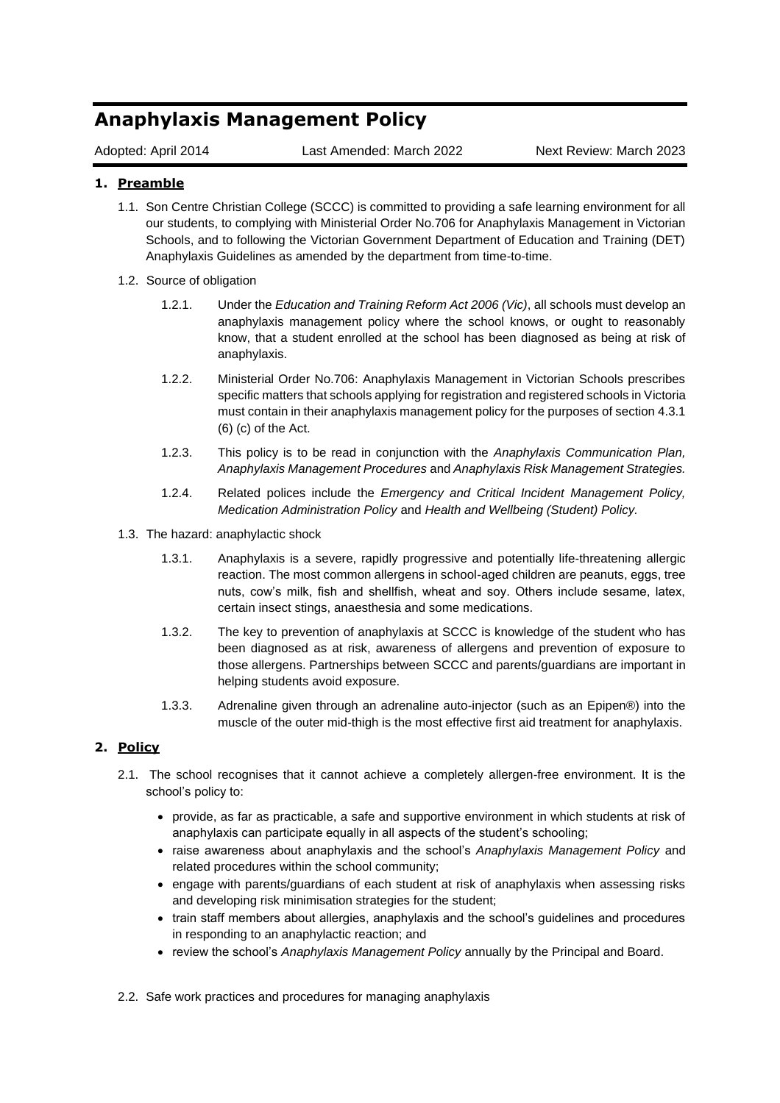# **Anaphylaxis Management Policy**

Adopted: April 2014 Last Amended: March 2022 Next Review: March 2023

## **1. Preamble**

- 1.1. Son Centre Christian College (SCCC) is committed to providing a safe learning environment for all our students, to complying with Ministerial Order No.706 for Anaphylaxis Management in Victorian Schools, and to following the Victorian Government Department of Education and Training (DET) Anaphylaxis Guidelines as amended by the department from time-to-time.
- 1.2. Source of obligation
	- 1.2.1. Under the *Education and Training Reform Act 2006 (Vic)*, all schools must develop an anaphylaxis management policy where the school knows, or ought to reasonably know, that a student enrolled at the school has been diagnosed as being at risk of anaphylaxis.
	- 1.2.2. Ministerial Order No.706: Anaphylaxis Management in Victorian Schools prescribes specific matters that schools applying for registration and registered schools in Victoria must contain in their anaphylaxis management policy for the purposes of section 4.3.1 (6) (c) of the Act.
	- 1.2.3. This policy is to be read in conjunction with the *Anaphylaxis Communication Plan, Anaphylaxis Management Procedures* and *Anaphylaxis Risk Management Strategies.*
	- 1.2.4. Related polices include the *Emergency and Critical Incident Management Policy, Medication Administration Policy* and *Health and Wellbeing (Student) Policy.*
- 1.3. The hazard: anaphylactic shock
	- 1.3.1. Anaphylaxis is a severe, rapidly progressive and potentially life-threatening allergic reaction. The most common allergens in school-aged children are peanuts, eggs, tree nuts, cow's milk, fish and shellfish, wheat and soy. Others include sesame, latex, certain insect stings, anaesthesia and some medications.
	- 1.3.2. The key to prevention of anaphylaxis at SCCC is knowledge of the student who has been diagnosed as at risk, awareness of allergens and prevention of exposure to those allergens. Partnerships between SCCC and parents/guardians are important in helping students avoid exposure.
	- 1.3.3. Adrenaline given through an adrenaline auto-injector (such as an Epipen®) into the muscle of the outer mid-thigh is the most effective first aid treatment for anaphylaxis.

## **2. Policy**

- 2.1. The school recognises that it cannot achieve a completely allergen-free environment. It is the school's policy to:
	- provide, as far as practicable, a safe and supportive environment in which students at risk of anaphylaxis can participate equally in all aspects of the student's schooling;
	- raise awareness about anaphylaxis and the school's *Anaphylaxis Management Policy* and related procedures within the school community;
	- engage with parents/guardians of each student at risk of anaphylaxis when assessing risks and developing risk minimisation strategies for the student;
	- train staff members about allergies, anaphylaxis and the school's guidelines and procedures in responding to an anaphylactic reaction; and
	- review the school's *Anaphylaxis Management Policy* annually by the Principal and Board.
- 2.2. Safe work practices and procedures for managing anaphylaxis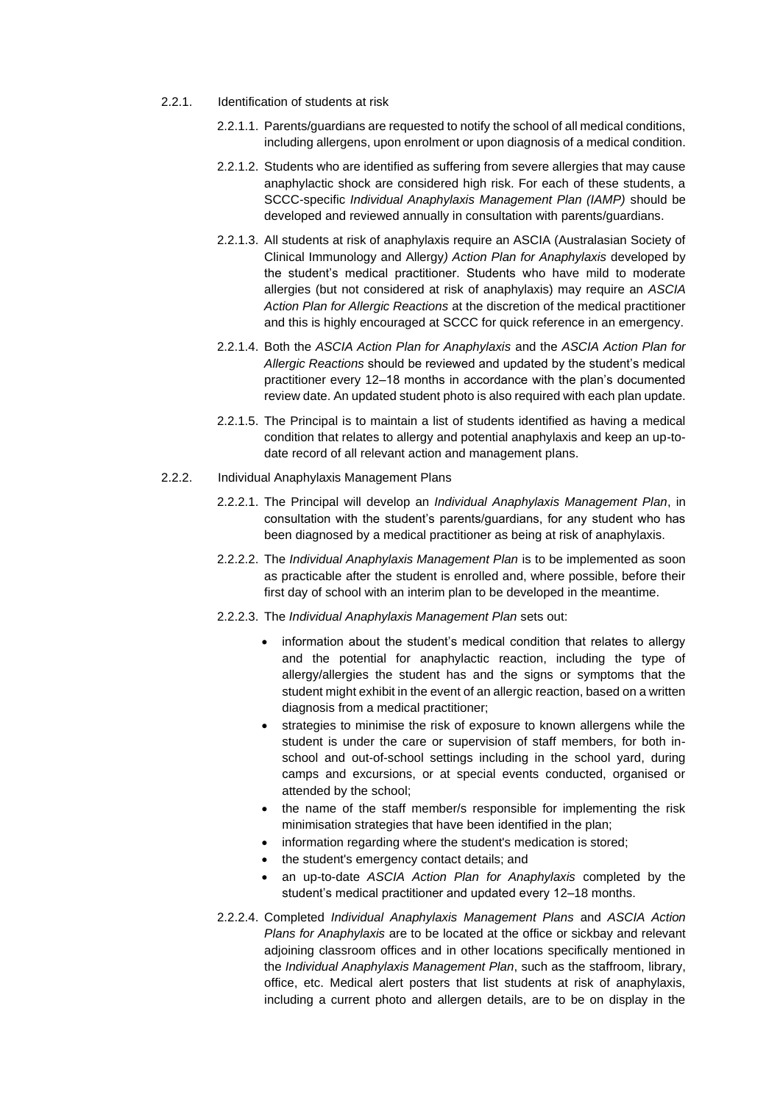- 2.2.1. Identification of students at risk
	- 2.2.1.1. Parents/guardians are requested to notify the school of all medical conditions, including allergens, upon enrolment or upon diagnosis of a medical condition.
	- 2.2.1.2. Students who are identified as suffering from severe allergies that may cause anaphylactic shock are considered high risk. For each of these students, a SCCC-specific *Individual Anaphylaxis Management Plan (IAMP)* should be developed and reviewed annually in consultation with parents/guardians.
	- 2.2.1.3. All students at risk of anaphylaxis require an ASCIA (Australasian Society of Clinical Immunology and Allergy*) Action Plan for Anaphylaxis* developed by the student's medical practitioner. Students who have mild to moderate allergies (but not considered at risk of anaphylaxis) may require an *ASCIA Action Plan for Allergic Reactions* at the discretion of the medical practitioner and this is highly encouraged at SCCC for quick reference in an emergency.
	- 2.2.1.4. Both the *ASCIA Action Plan for Anaphylaxis* and the *ASCIA Action Plan for Allergic Reactions* should be reviewed and updated by the student's medical practitioner every 12–18 months in accordance with the plan's documented review date. An updated student photo is also required with each plan update.
	- 2.2.1.5. The Principal is to maintain a list of students identified as having a medical condition that relates to allergy and potential anaphylaxis and keep an up-todate record of all relevant action and management plans.
- 2.2.2. Individual Anaphylaxis Management Plans
	- 2.2.2.1. The Principal will develop an *Individual Anaphylaxis Management Plan*, in consultation with the student's parents/guardians, for any student who has been diagnosed by a medical practitioner as being at risk of anaphylaxis.
	- 2.2.2.2. The *Individual Anaphylaxis Management Plan* is to be implemented as soon as practicable after the student is enrolled and, where possible, before their first day of school with an interim plan to be developed in the meantime.
	- 2.2.2.3. The *Individual Anaphylaxis Management Plan* sets out:
		- information about the student's medical condition that relates to allergy and the potential for anaphylactic reaction, including the type of allergy/allergies the student has and the signs or symptoms that the student might exhibit in the event of an allergic reaction, based on a written diagnosis from a medical practitioner;
		- strategies to minimise the risk of exposure to known allergens while the student is under the care or supervision of staff members, for both inschool and out-of-school settings including in the school yard, during camps and excursions, or at special events conducted, organised or attended by the school;
		- the name of the staff member/s responsible for implementing the risk minimisation strategies that have been identified in the plan;
		- information regarding where the student's medication is stored:
		- the student's emergency contact details; and
		- an up-to-date *ASCIA Action Plan for Anaphylaxis* completed by the student's medical practitioner and updated every 12–18 months.
	- 2.2.2.4. Completed *Individual Anaphylaxis Management Plans* and *ASCIA Action Plans for Anaphylaxis* are to be located at the office or sickbay and relevant adjoining classroom offices and in other locations specifically mentioned in the *Individual Anaphylaxis Management Plan*, such as the staffroom, library, office, etc. Medical alert posters that list students at risk of anaphylaxis, including a current photo and allergen details, are to be on display in the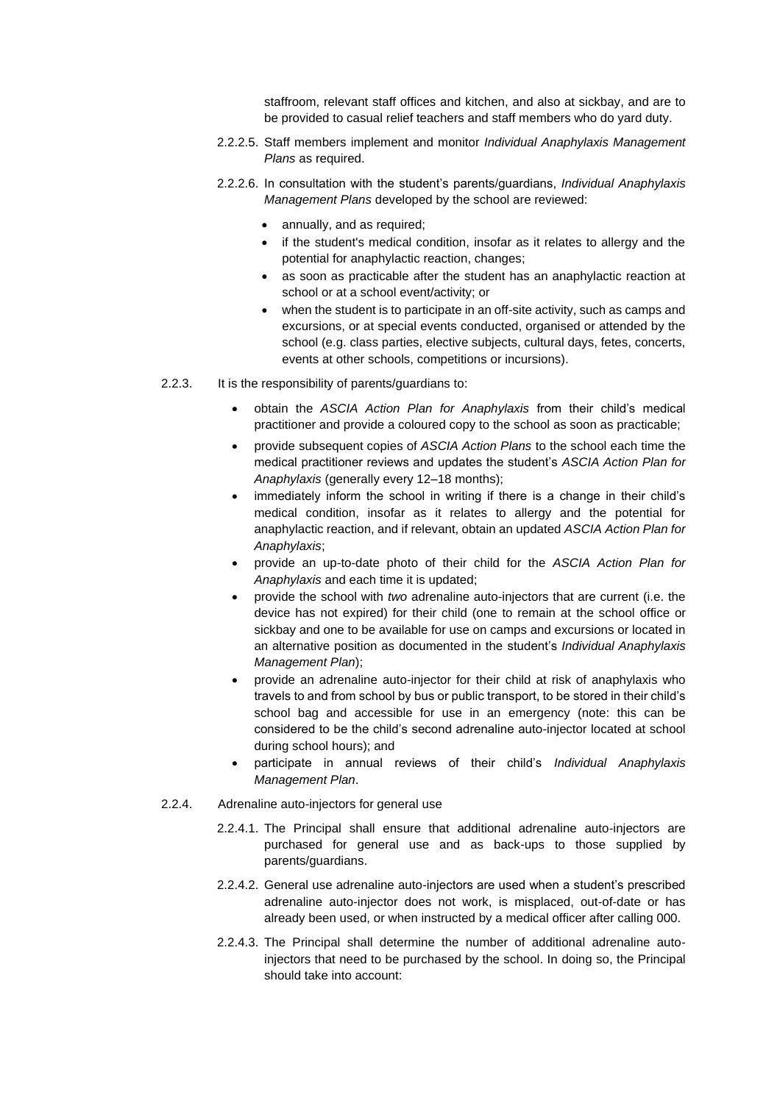staffroom, relevant staff offices and kitchen, and also at sickbay, and are to be provided to casual relief teachers and staff members who do yard duty.

- 2.2.2.5. Staff members implement and monitor *Individual Anaphylaxis Management Plans* as required.
- 2.2.2.6. In consultation with the student's parents/guardians, *Individual Anaphylaxis Management Plans* developed by the school are reviewed:
	- annually, and as required;
	- if the student's medical condition, insofar as it relates to allergy and the potential for anaphylactic reaction, changes;
	- as soon as practicable after the student has an anaphylactic reaction at school or at a school event/activity; or
	- when the student is to participate in an off-site activity, such as camps and excursions, or at special events conducted, organised or attended by the school (e.g. class parties, elective subjects, cultural days, fetes, concerts, events at other schools, competitions or incursions).
- 2.2.3. It is the responsibility of parents/guardians to:
	- obtain the *ASCIA Action Plan for Anaphylaxis* from their child's medical practitioner and provide a coloured copy to the school as soon as practicable;
	- provide subsequent copies of *ASCIA Action Plans* to the school each time the medical practitioner reviews and updates the student's *ASCIA Action Plan for Anaphylaxis* (generally every 12–18 months);
	- immediately inform the school in writing if there is a change in their child's medical condition, insofar as it relates to allergy and the potential for anaphylactic reaction, and if relevant, obtain an updated *ASCIA Action Plan for Anaphylaxis*;
	- provide an up-to-date photo of their child for the *ASCIA Action Plan for Anaphylaxis* and each time it is updated;
	- provide the school with *two* adrenaline auto-injectors that are current (i.e. the device has not expired) for their child (one to remain at the school office or sickbay and one to be available for use on camps and excursions or located in an alternative position as documented in the student's *Individual Anaphylaxis Management Plan*);
	- provide an adrenaline auto-injector for their child at risk of anaphylaxis who travels to and from school by bus or public transport, to be stored in their child's school bag and accessible for use in an emergency (note: this can be considered to be the child's second adrenaline auto-injector located at school during school hours); and
	- participate in annual reviews of their child's *Individual Anaphylaxis Management Plan*.
- 2.2.4. Adrenaline auto-injectors for general use
	- 2.2.4.1. The Principal shall ensure that additional adrenaline auto-injectors are purchased for general use and as back-ups to those supplied by parents/guardians.
	- 2.2.4.2. General use adrenaline auto-injectors are used when a student's prescribed adrenaline auto-injector does not work, is misplaced, out-of-date or has already been used, or when instructed by a medical officer after calling 000.
	- 2.2.4.3. The Principal shall determine the number of additional adrenaline autoinjectors that need to be purchased by the school. In doing so, the Principal should take into account: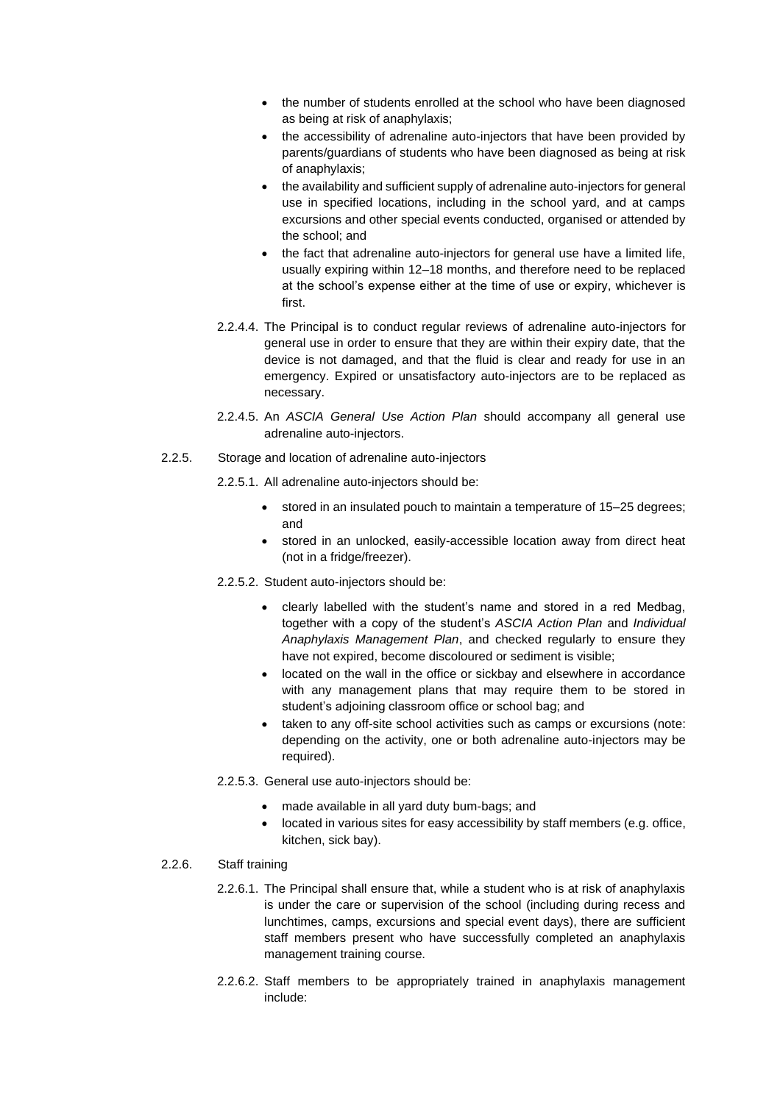- the number of students enrolled at the school who have been diagnosed as being at risk of anaphylaxis;
- the accessibility of adrenaline auto-injectors that have been provided by parents/guardians of students who have been diagnosed as being at risk of anaphylaxis;
- the availability and sufficient supply of adrenaline auto-injectors for general use in specified locations, including in the school yard, and at camps excursions and other special events conducted, organised or attended by the school; and
- the fact that adrenaline auto-injectors for general use have a limited life, usually expiring within 12–18 months, and therefore need to be replaced at the school's expense either at the time of use or expiry, whichever is first.
- 2.2.4.4. The Principal is to conduct regular reviews of adrenaline auto-injectors for general use in order to ensure that they are within their expiry date, that the device is not damaged, and that the fluid is clear and ready for use in an emergency. Expired or unsatisfactory auto-injectors are to be replaced as necessary.
- 2.2.4.5. An *ASCIA General Use Action Plan* should accompany all general use adrenaline auto-injectors.
- 2.2.5. Storage and location of adrenaline auto-injectors
	- 2.2.5.1. All adrenaline auto-injectors should be:
		- stored in an insulated pouch to maintain a temperature of 15–25 degrees; and
		- stored in an unlocked, easily-accessible location away from direct heat (not in a fridge/freezer).
	- 2.2.5.2. Student auto-injectors should be:
		- clearly labelled with the student's name and stored in a red Medbag, together with a copy of the student's *ASCIA Action Plan* and *Individual Anaphylaxis Management Plan*, and checked regularly to ensure they have not expired, become discoloured or sediment is visible;
		- located on the wall in the office or sickbay and elsewhere in accordance with any management plans that may require them to be stored in student's adjoining classroom office or school bag; and
		- taken to any off-site school activities such as camps or excursions (note: depending on the activity, one or both adrenaline auto-injectors may be required).
	- 2.2.5.3. General use auto-injectors should be:
		- made available in all yard duty bum-bags; and
		- located in various sites for easy accessibility by staff members (e.g. office, kitchen, sick bay).

#### 2.2.6. Staff training

- 2.2.6.1. The Principal shall ensure that, while a student who is at risk of anaphylaxis is under the care or supervision of the school (including during recess and lunchtimes, camps, excursions and special event days), there are sufficient staff members present who have successfully completed an anaphylaxis management training course.
- 2.2.6.2. Staff members to be appropriately trained in anaphylaxis management include: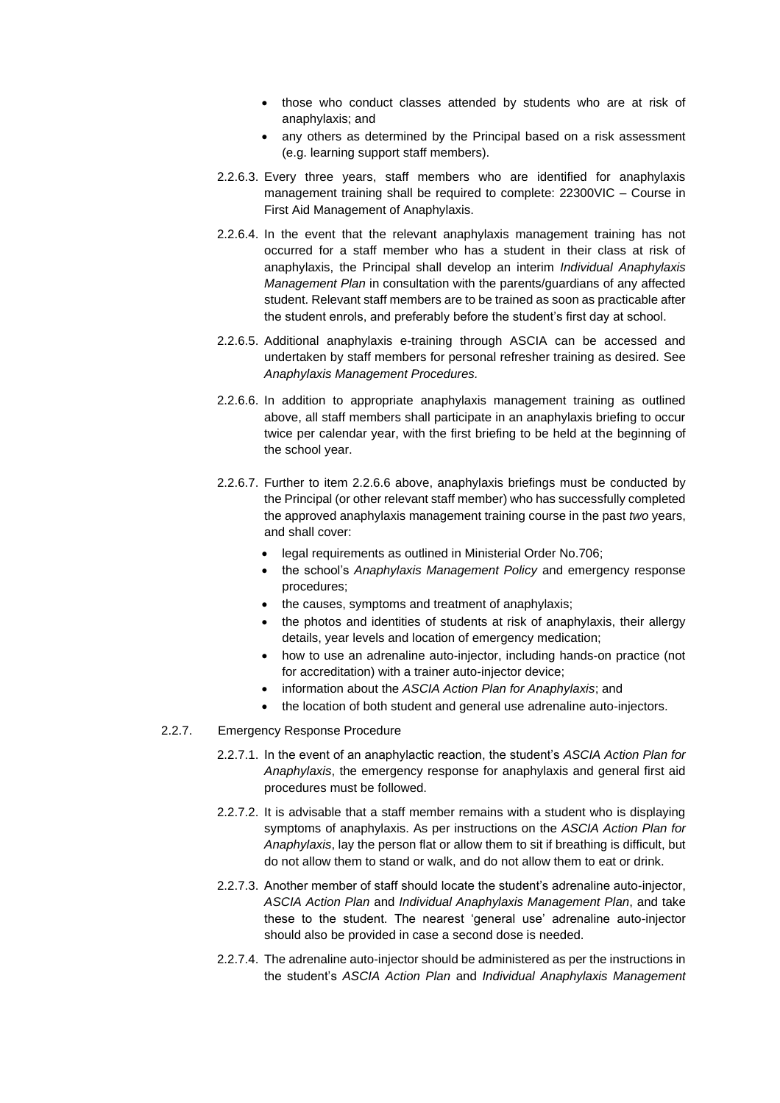- those who conduct classes attended by students who are at risk of anaphylaxis; and
- any others as determined by the Principal based on a risk assessment (e.g. learning support staff members).
- 2.2.6.3. Every three years, staff members who are identified for anaphylaxis management training shall be required to complete: 22300VIC – Course in First Aid Management of Anaphylaxis.
- 2.2.6.4. In the event that the relevant anaphylaxis management training has not occurred for a staff member who has a student in their class at risk of anaphylaxis, the Principal shall develop an interim *Individual Anaphylaxis Management Plan* in consultation with the parents/guardians of any affected student. Relevant staff members are to be trained as soon as practicable after the student enrols, and preferably before the student's first day at school.
- 2.2.6.5. Additional anaphylaxis e-training through ASCIA can be accessed and undertaken by staff members for personal refresher training as desired. See *Anaphylaxis Management Procedures.*
- 2.2.6.6. In addition to appropriate anaphylaxis management training as outlined above, all staff members shall participate in an anaphylaxis briefing to occur twice per calendar year, with the first briefing to be held at the beginning of the school year.
- 2.2.6.7. Further to item 2.2.6.6 above, anaphylaxis briefings must be conducted by the Principal (or other relevant staff member) who has successfully completed the approved anaphylaxis management training course in the past *two* years, and shall cover:
	- legal requirements as outlined in Ministerial Order No.706;
	- the school's *Anaphylaxis Management Policy* and emergency response procedures;
	- the causes, symptoms and treatment of anaphylaxis;
	- the photos and identities of students at risk of anaphylaxis, their allergy details, year levels and location of emergency medication;
	- how to use an adrenaline auto-injector, including hands-on practice (not for accreditation) with a trainer auto-injector device;
	- information about the *ASCIA Action Plan for Anaphylaxis*; and
	- the location of both student and general use adrenaline auto-injectors.
- 2.2.7. Emergency Response Procedure
	- 2.2.7.1. In the event of an anaphylactic reaction, the student's *ASCIA Action Plan for Anaphylaxis*, the emergency response for anaphylaxis and general first aid procedures must be followed.
	- 2.2.7.2. It is advisable that a staff member remains with a student who is displaying symptoms of anaphylaxis. As per instructions on the *ASCIA Action Plan for Anaphylaxis*, lay the person flat or allow them to sit if breathing is difficult, but do not allow them to stand or walk, and do not allow them to eat or drink.
	- 2.2.7.3. Another member of staff should locate the student's adrenaline auto-injector, *ASCIA Action Plan* and *Individual Anaphylaxis Management Plan*, and take these to the student. The nearest 'general use' adrenaline auto-injector should also be provided in case a second dose is needed.
	- 2.2.7.4. The adrenaline auto-injector should be administered as per the instructions in the student's *ASCIA Action Plan* and *Individual Anaphylaxis Management*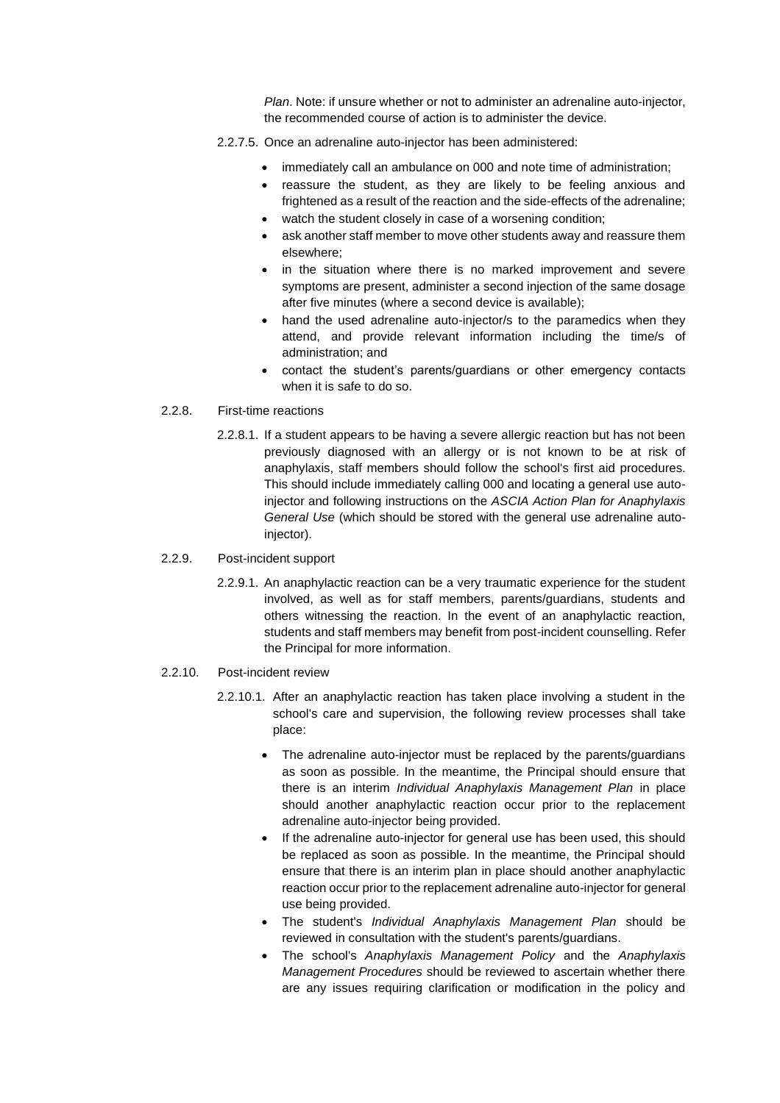*Plan*. Note: if unsure whether or not to administer an adrenaline auto-injector, the recommended course of action is to administer the device.

- 2.2.7.5. Once an adrenaline auto-injector has been administered:
	- immediately call an ambulance on 000 and note time of administration;
	- reassure the student, as they are likely to be feeling anxious and frightened as a result of the reaction and the side-effects of the adrenaline;
	- watch the student closely in case of a worsening condition;
	- ask another staff member to move other students away and reassure them elsewhere;
	- in the situation where there is no marked improvement and severe symptoms are present, administer a second injection of the same dosage after five minutes (where a second device is available);
	- hand the used adrenaline auto-injector/s to the paramedics when they attend, and provide relevant information including the time/s of administration; and
	- contact the student's parents/guardians or other emergency contacts when it is safe to do so.
- 2.2.8. First-time reactions
	- 2.2.8.1. If a student appears to be having a severe allergic reaction but has not been previously diagnosed with an allergy or is not known to be at risk of anaphylaxis, staff members should follow the school's first aid procedures. This should include immediately calling 000 and locating a general use autoinjector and following instructions on the *ASCIA Action Plan for Anaphylaxis General Use* (which should be stored with the general use adrenaline autoinjector).

#### 2.2.9. Post-incident support

- 2.2.9.1. An anaphylactic reaction can be a very traumatic experience for the student involved, as well as for staff members, parents/guardians, students and others witnessing the reaction. In the event of an anaphylactic reaction, students and staff members may benefit from post-incident counselling. Refer the Principal for more information.
- 2.2.10. Post-incident review
	- 2.2.10.1. After an anaphylactic reaction has taken place involving a student in the school's care and supervision, the following review processes shall take place:
		- The adrenaline auto-injector must be replaced by the parents/guardians as soon as possible. In the meantime, the Principal should ensure that there is an interim *Individual Anaphylaxis Management Plan* in place should another anaphylactic reaction occur prior to the replacement adrenaline auto-injector being provided.
		- If the adrenaline auto-injector for general use has been used, this should be replaced as soon as possible. In the meantime, the Principal should ensure that there is an interim plan in place should another anaphylactic reaction occur prior to the replacement adrenaline auto-injector for general use being provided.
		- The student's *Individual Anaphylaxis Management Plan* should be reviewed in consultation with the student's parents/guardians.
		- The school's *Anaphylaxis Management Policy* and the *Anaphylaxis Management Procedures* should be reviewed to ascertain whether there are any issues requiring clarification or modification in the policy and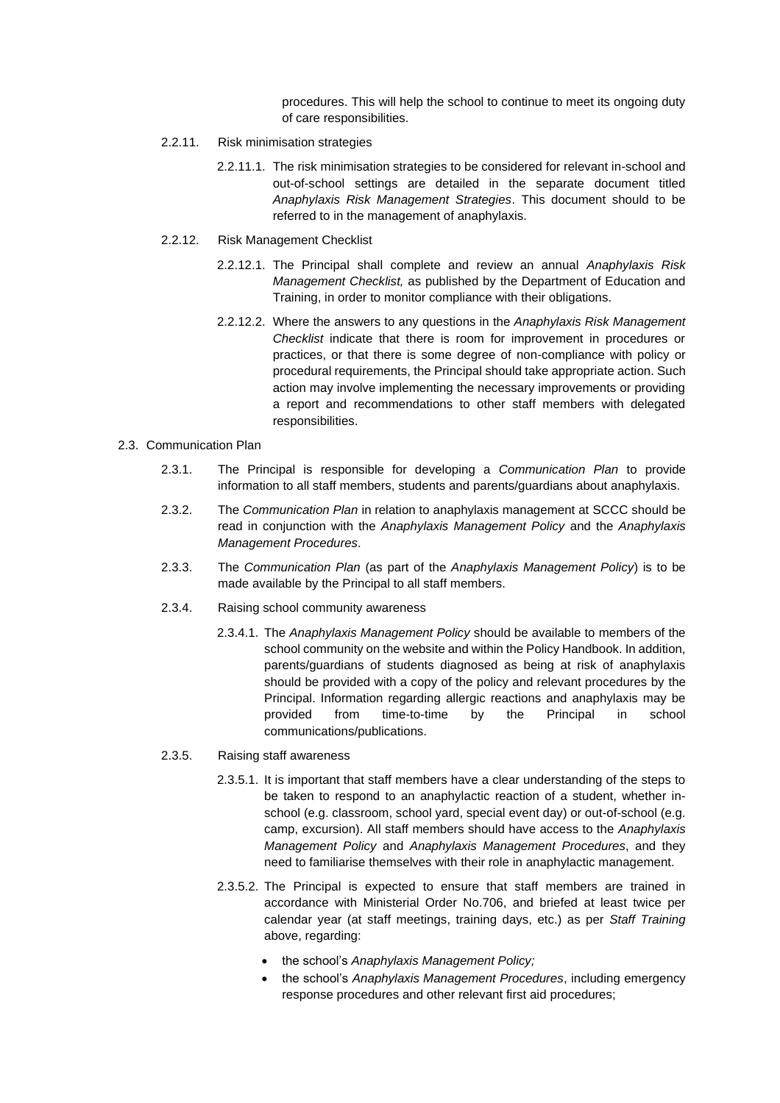procedures. This will help the school to continue to meet its ongoing duty of care responsibilities.

- 2.2.11. Risk minimisation strategies
	- 2.2.11.1. The risk minimisation strategies to be considered for relevant in-school and out-of-school settings are detailed in the separate document titled *Anaphylaxis Risk Management Strategies*. This document should to be referred to in the management of anaphylaxis.
- 2.2.12. Risk Management Checklist
	- 2.2.12.1. The Principal shall complete and review an annual *Anaphylaxis Risk Management Checklist,* as published by the Department of Education and Training, in order to monitor compliance with their obligations.
	- 2.2.12.2. Where the answers to any questions in the *Anaphylaxis Risk Management Checklist* indicate that there is room for improvement in procedures or practices, or that there is some degree of non-compliance with policy or procedural requirements, the Principal should take appropriate action. Such action may involve implementing the necessary improvements or providing a report and recommendations to other staff members with delegated responsibilities.

#### 2.3. Communication Plan

- 2.3.1. The Principal is responsible for developing a *Communication Plan* to provide information to all staff members, students and parents/guardians about anaphylaxis.
- 2.3.2. The *Communication Plan* in relation to anaphylaxis management at SCCC should be read in conjunction with the *Anaphylaxis Management Policy* and the *Anaphylaxis Management Procedures*.
- 2.3.3. The *Communication Plan* (as part of the *Anaphylaxis Management Policy*) is to be made available by the Principal to all staff members.
- 2.3.4. Raising school community awareness
	- 2.3.4.1. The *Anaphylaxis Management Policy* should be available to members of the school community on the website and within the Policy Handbook. In addition, parents/guardians of students diagnosed as being at risk of anaphylaxis should be provided with a copy of the policy and relevant procedures by the Principal. Information regarding allergic reactions and anaphylaxis may be provided from time-to-time by the Principal in school communications/publications.

### 2.3.5. Raising staff awareness

- 2.3.5.1. It is important that staff members have a clear understanding of the steps to be taken to respond to an anaphylactic reaction of a student, whether inschool (e.g. classroom, school yard, special event day) or out-of-school (e.g. camp, excursion). All staff members should have access to the *Anaphylaxis Management Policy* and *Anaphylaxis Management Procedures*, and they need to familiarise themselves with their role in anaphylactic management.
- 2.3.5.2. The Principal is expected to ensure that staff members are trained in accordance with Ministerial Order No.706, and briefed at least twice per calendar year (at staff meetings, training days, etc.) as per *Staff Training*  above, regarding:
	- the school's *Anaphylaxis Management Policy;*
	- the school's *Anaphylaxis Management Procedures*, including emergency response procedures and other relevant first aid procedures;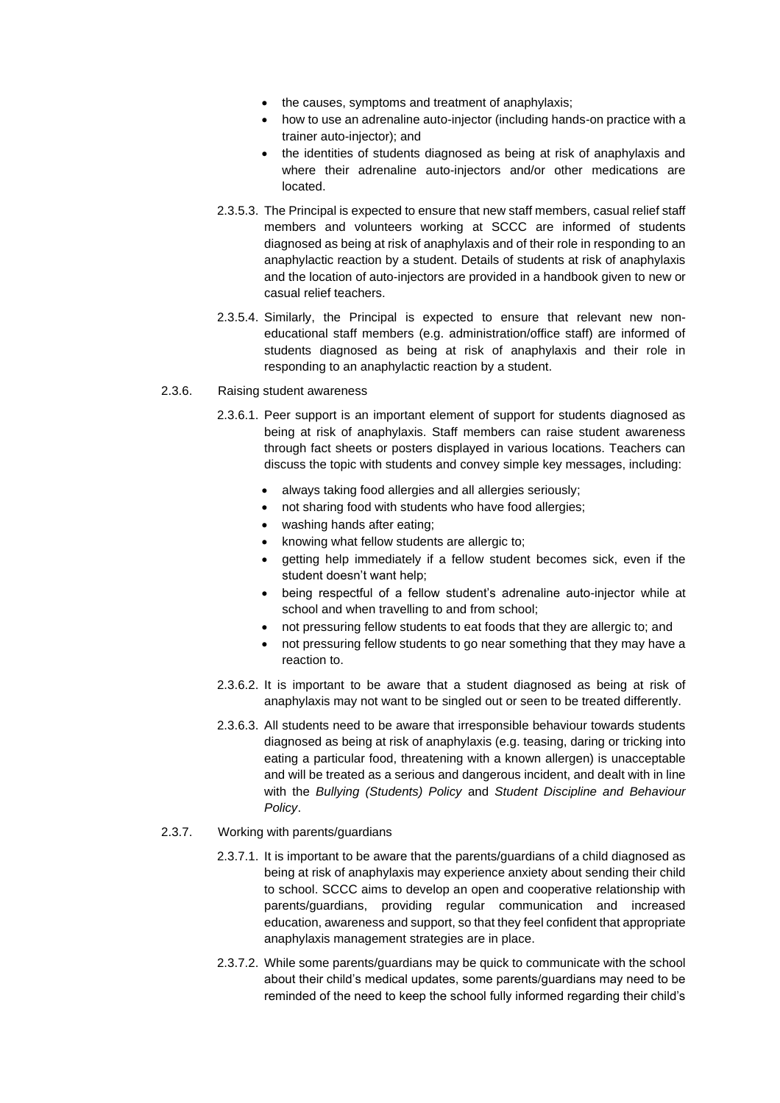- the causes, symptoms and treatment of anaphylaxis;
- how to use an adrenaline auto-injector (including hands-on practice with a trainer auto-injector); and
- the identities of students diagnosed as being at risk of anaphylaxis and where their adrenaline auto-injectors and/or other medications are located.
- 2.3.5.3. The Principal is expected to ensure that new staff members, casual relief staff members and volunteers working at SCCC are informed of students diagnosed as being at risk of anaphylaxis and of their role in responding to an anaphylactic reaction by a student. Details of students at risk of anaphylaxis and the location of auto-injectors are provided in a handbook given to new or casual relief teachers.
- 2.3.5.4. Similarly, the Principal is expected to ensure that relevant new noneducational staff members (e.g. administration/office staff) are informed of students diagnosed as being at risk of anaphylaxis and their role in responding to an anaphylactic reaction by a student.

#### 2.3.6. Raising student awareness

- 2.3.6.1. Peer support is an important element of support for students diagnosed as being at risk of anaphylaxis. Staff members can raise student awareness through fact sheets or posters displayed in various locations. Teachers can discuss the topic with students and convey simple key messages, including:
	- always taking food allergies and all allergies seriously;
	- not sharing food with students who have food allergies;
	- washing hands after eating;
	- knowing what fellow students are allergic to;
	- getting help immediately if a fellow student becomes sick, even if the student doesn't want help;
	- being respectful of a fellow student's adrenaline auto-injector while at school and when travelling to and from school;
	- not pressuring fellow students to eat foods that they are allergic to; and
	- not pressuring fellow students to go near something that they may have a reaction to.
- 2.3.6.2. It is important to be aware that a student diagnosed as being at risk of anaphylaxis may not want to be singled out or seen to be treated differently.
- 2.3.6.3. All students need to be aware that irresponsible behaviour towards students diagnosed as being at risk of anaphylaxis (e.g. teasing, daring or tricking into eating a particular food, threatening with a known allergen) is unacceptable and will be treated as a serious and dangerous incident, and dealt with in line with the *Bullying (Students) Policy* and *Student Discipline and Behaviour Policy*.

#### 2.3.7. Working with parents/guardians

- 2.3.7.1. It is important to be aware that the parents/guardians of a child diagnosed as being at risk of anaphylaxis may experience anxiety about sending their child to school. SCCC aims to develop an open and cooperative relationship with parents/guardians, providing regular communication and increased education, awareness and support, so that they feel confident that appropriate anaphylaxis management strategies are in place.
- 2.3.7.2. While some parents/guardians may be quick to communicate with the school about their child's medical updates, some parents/guardians may need to be reminded of the need to keep the school fully informed regarding their child's